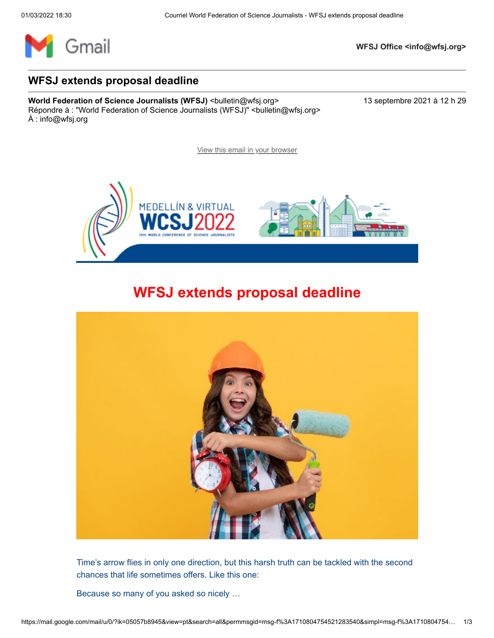

**WFSJ Office <info@wfsj.org>**

## **WFSJ extends proposal deadline**

**World Federation of Science Journalists (WFSJ)** <br/>
<br/>  $\leq$  <br/>  $\leq$  <br/>  $\leq$  + 2021 à 12 h 29 Répondre à : "World Federation of Science Journalists (WFSJ)" <br/>bulletin@wfsj.org> À : info@wfsj.org

[View this email in your browser](https://mailchi.mp/wfsj/road-to-medellin-begins-today-5649113?e=5575ecfde9)



## **WFSJ extends proposal deadline**



Time's arrow flies in only one direction, but this harsh truth can be tackled with the second chances that life sometimes offers. Like this one:

Because so many of you asked so nicely …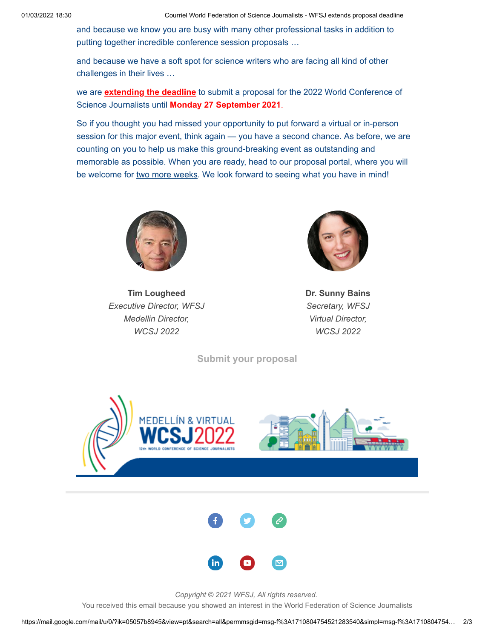and because we know you are busy with many other professional tasks in addition to putting together incredible conference session proposals …

and because we have a soft spot for science writers who are facing all kind of other challenges in their lives …

we are **extending the deadline** to submit a proposal for the 2022 World Conference of Science Journalists until **Monday 27 September 2021**.

So if you thought you had missed your opportunity to put forward a virtual or in-person session for this major event, think again — you have a second chance. As before, we are counting on you to help us make this ground-breaking event as outstanding and memorable as possible. When you are ready, head to our proposal portal, where you will be welcome for two more weeks. We look forward to seeing what you have in mind!



**Tim Lougheed** *Executive Director, WFSJ Medellin Director, WCSJ 2022*



**Dr. Sunny Bains** *Secretary, WFSJ Virtual Director, WCSJ 2022*

**[Submit your proposal](https://wfsj.us2.list-manage.com/track/click?u=a8d11a901ac032467f5aed649&id=318401e76d&e=5575ecfde9)**



*Copyright © 2021 WFSJ, All rights reserved.*

You received this email because you showed an interest in the World Federation of Science Journalists